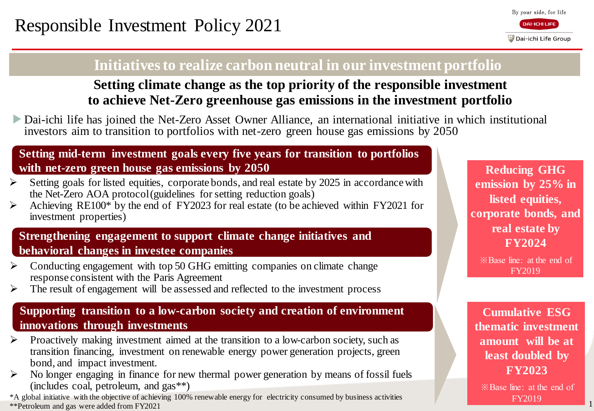# **Initiatives to realize carbon neutral in our investment portfolio**

# **Setting climate change as the top priority of the responsible investment to achieve Net-Zero greenhouse gas emissions in the investment portfolio**

▶Dai-ichi life has joined the Net-Zero Asset Owner Alliance, an international initiative in which institutional investors aim to transition to portfolios with net-zero green house gas emissions by 2050

#### **Setting mid-term investment goals every five years for transition to portfolios with net-zero green house gas emissions by 2050**

- Setting goals for listed equities, corporate bonds, and real estate by 2025 in accordance with the Net-Zero AOA protocol (guidelines for setting reduction goals)
- Achieving RE100\* by the end of FY2023 for real estate (to be achieved within FY2021 for investment properties)

#### **Strengthening engagement to support climate change initiatives and behavioral changes in investee companies**

- $\triangleright$  Conducting engagement with top 50 GHG emitting companies on climate change response consistent with the Paris Agreement
- $\triangleright$  The result of engagement will be assessed and reflected to the investment process

#### **Supporting transition to a low-carbon society and creation of environment innovations through investments**

- Proactively making investment aimed at the transition to a low-carbon society, such as transition financing, investment on renewable energy power generation projects, green bond, and impact investment.
- $\triangleright$  No longer engaging in finance for new thermal power generation by means of fossil fuels (includes coal, petroleum, and gas\*\*)

\*A global initiative with the objective of achieving 100% renewable energy for electricity consumed by business activities \*\*Petroleum and gas were added from FY2021 1

**Reducing GHG emission by 25% in listed equities, corporate bonds, and real estate by FY2024** ※Base line: at the end of

FY2019

**Cumulative ESG thematic investment amount will be at least doubled by FY2023** 

※Base line: at the end of FY2019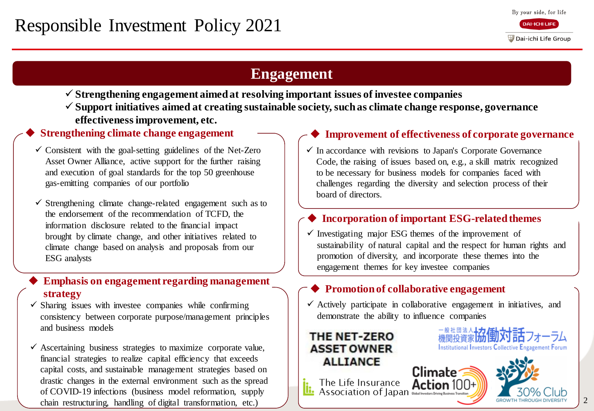# **Engagement**

- **Strengthening engagement aimed at resolving important issues of investee companies**
- **Support initiatives aimed at creating sustainable society, such as climate change response, governance effectiveness improvement, etc.**

- $\checkmark$  Consistent with the goal-setting guidelines of the Net-Zero Asset Owner Alliance, active support for the further raising and execution of goal standards for the top 50 greenhouse gas-emitting companies of our portfolio
- $\checkmark$  Strengthening climate change-related engagement such as to the endorsement of the recommendation of TCFD, the information disclosure related to the financial impact brought by climate change, and other initiatives related to climate change based on analysis and proposals from our ESG analysts

#### **Emphasis on engagement regarding management strategy**

- $\checkmark$  Sharing issues with investee companies while confirming consistency between corporate purpose/management principles and business models
- $\checkmark$  Ascertaining business strategies to maximize corporate value, financial strategies to realize capital efficiency that exceeds capital costs, and sustainable management strategies based on drastic changes in the external environment such as the spread of COVID-19 infections (business model reformation, supply chain restructuring, handling of digital transformation, etc.)

#### Strengthening climate change engagement **IMPLE 10.1 The Strengthening climate change engagement IMPLE 10.1 The Improvement of effectiveness of corporate governance**

 $\checkmark$  In accordance with revisions to Japan's Corporate Governance Code, the raising of issues based on, e.g., a skill matrix recognized to be necessary for business models for companies faced with challenges regarding the diversity and selection process of their board of directors.

#### **Incorporation of important ESG-related themes**

 $\checkmark$  Investigating major ESG themes of the improvement of sustainability of natural capital and the respect for human rights and promotion of diversity, and incorporate these themes into the engagement themes for key investee companies

### **Promotion of collaborative engagement**

 $\checkmark$  Actively participate in collaborative engagement in initiatives, and demonstrate the ability to influence companies

Climate

#### THE NET-ZERO **ASSET OWNER ALLIANCE**



**Institutional Investors Collective Engagement Forum** 



2